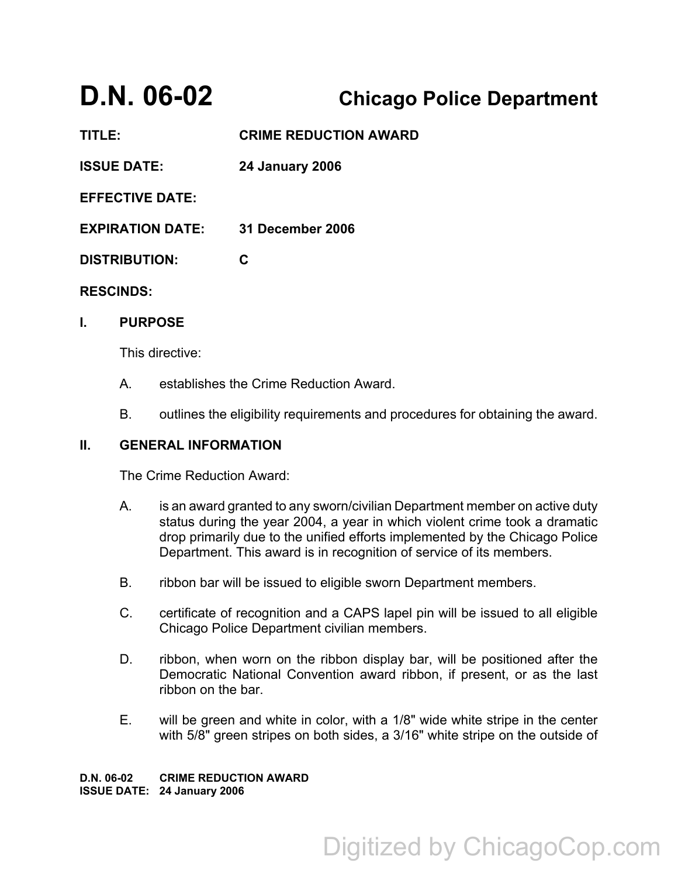# **D.N. 06-02 Chicago Police Department**

**TITLE: CRIME REDUCTION AWARD ISSUE DATE: 24 January 2006 EFFECTIVE DATE: EXPIRATION DATE: 31 December 2006 DISTRIBUTION: C RESCINDS:**

### **I. PURPOSE**

This directive:

- A. establishes the Crime Reduction Award.
- B. outlines the eligibility requirements and procedures for obtaining the award.

#### **II. GENERAL INFORMATION**

The Crime Reduction Award:

- A. is an award granted to any sworn/civilian Department member on active duty status during the year 2004, a year in which violent crime took a dramatic drop primarily due to the unified efforts implemented by the Chicago Police Department. This award is in recognition of service of its members.
- B. ribbon bar will be issued to eligible sworn Department members.
- C. certificate of recognition and a CAPS lapel pin will be issued to all eligible Chicago Police Department civilian members.
- D. ribbon, when worn on the ribbon display bar, will be positioned after the Democratic National Convention award ribbon, if present, or as the last ribbon on the bar.
- E. will be green and white in color, with a 1/8" wide white stripe in the center with 5/8" green stripes on both sides, a 3/16" white stripe on the outside of

**D.N. 06-02 CRIME REDUCTION AWARD ISSUE DATE: 24 January 2006**